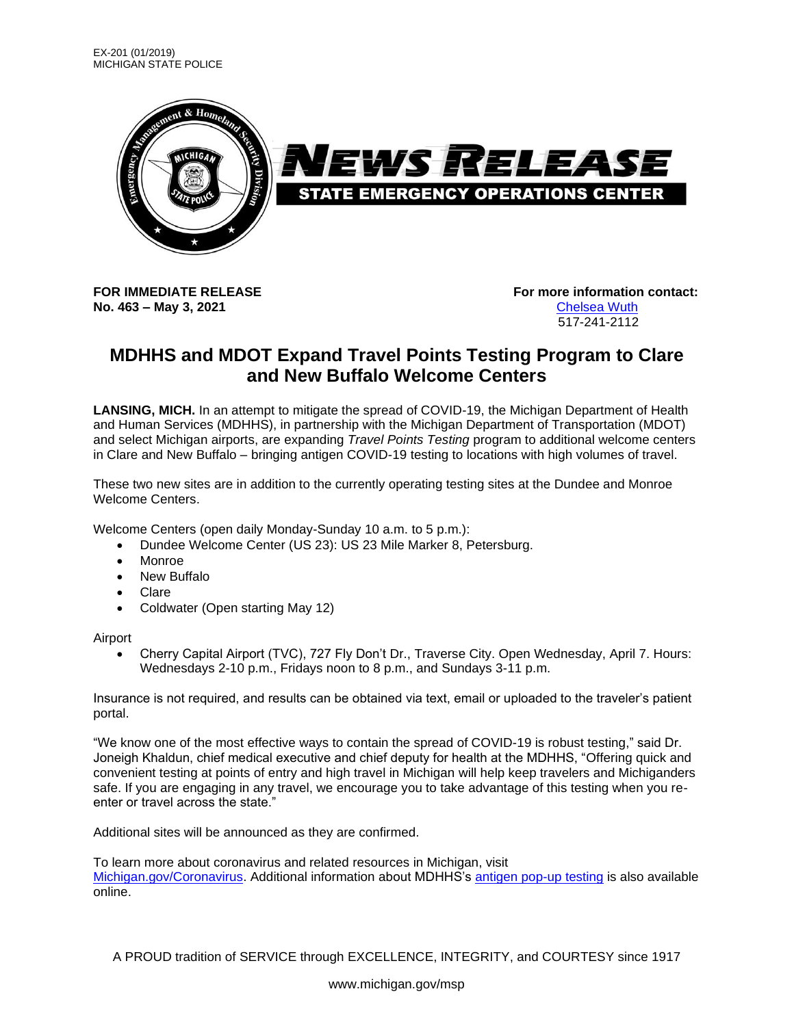

**No. 463 – May 3, 2021** [Chelsea](mailto:wuthc@michigan.gov) Wuth

**FOR IMMEDIATE RELEASE For more information contact:** 517-241-2112

## **MDHHS and MDOT Expand Travel Points Testing Program to Clare and New Buffalo Welcome Centers**

**LANSING, MICH.** In an attempt to mitigate the spread of COVID-19, the Michigan Department of Health and Human Services (MDHHS), in partnership with the Michigan Department of Transportation (MDOT) and select Michigan airports, are expanding *Travel Points Testing* program to additional welcome centers in Clare and New Buffalo – bringing antigen COVID-19 testing to locations with high volumes of travel.

These two new sites are in addition to the currently operating testing sites at the Dundee and Monroe Welcome Centers.

Welcome Centers (open daily Monday-Sunday 10 a.m. to 5 p.m.):

- Dundee Welcome Center (US 23): US 23 Mile Marker 8, Petersburg.
- Monroe
- New Buffalo
- Clare
- Coldwater (Open starting May 12)

Airport

• Cherry Capital Airport (TVC), 727 Fly Don't Dr., Traverse City. Open Wednesday, April 7. Hours: Wednesdays 2-10 p.m., Fridays noon to 8 p.m., and Sundays 3-11 p.m.

Insurance is not required, and results can be obtained via text, email or uploaded to the traveler's patient portal.

"We know one of the most effective ways to contain the spread of COVID-19 is robust testing," said Dr. Joneigh Khaldun, chief medical executive and chief deputy for health at the MDHHS, "Offering quick and convenient testing at points of entry and high travel in Michigan will help keep travelers and Michiganders safe. If you are engaging in any travel, we encourage you to take advantage of this testing when you reenter or travel across the state."

Additional sites will be announced as they are confirmed.

To learn more about coronavirus and related resources in Michigan, visit [Michigan.gov/Coronavirus.](file:///C:/Users/sutfinl1/AppData/Local/Microsoft/Windows/INetCache/Content.Outlook/3MPW0W2M/michigan.gov/coronavirus) Additional information about MDHHS's [antigen pop-up testing](https://www.michigan.gov/coronavirus/0,9753,7-406-98178_104699_104714-554722--,00.html) is also available online.

A PROUD tradition of SERVICE through EXCELLENCE, INTEGRITY, and COURTESY since 1917